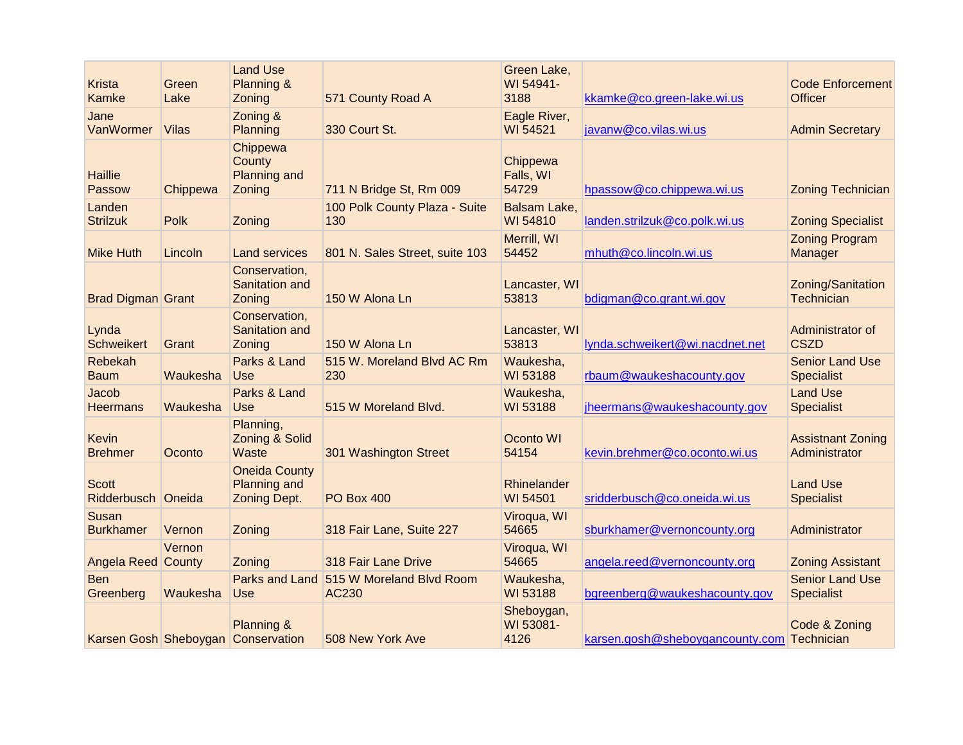| <b>Krista</b><br>Kamke         | Green<br>Lake | <b>Land Use</b><br>Planning &<br>Zoning                     | 571 County Road A                                | Green Lake,<br>WI 54941-<br>3188 | kkamke@co.green-lake.wi.us                 | <b>Code Enforcement</b><br><b>Officer</b>   |
|--------------------------------|---------------|-------------------------------------------------------------|--------------------------------------------------|----------------------------------|--------------------------------------------|---------------------------------------------|
| Jane<br>VanWormer              | <b>Vilas</b>  | Zoning &<br>Planning                                        | 330 Court St.                                    | Eagle River,<br>WI 54521         | javanw@co.vilas.wi.us                      | <b>Admin Secretary</b>                      |
| <b>Haillie</b><br>Passow       | Chippewa      | Chippewa<br>County<br><b>Planning and</b><br>Zoning         | 711 N Bridge St, Rm 009                          | Chippewa<br>Falls, WI<br>54729   | hpassow@co.chippewa.wi.us                  | <b>Zoning Technician</b>                    |
| Landen<br><b>Strilzuk</b>      | <b>Polk</b>   | Zoning                                                      | 100 Polk County Plaza - Suite<br>130             | <b>Balsam Lake.</b><br>WI 54810  | landen.strilzuk@co.polk.wi.us              | <b>Zoning Specialist</b>                    |
| <b>Mike Huth</b>               | Lincoln       | <b>Land services</b>                                        | 801 N. Sales Street, suite 103                   | Merrill, WI<br>54452             | mhuth@co.lincoln.wi.us                     | <b>Zoning Program</b><br>Manager            |
| <b>Brad Digman Grant</b>       |               | Conservation,<br><b>Sanitation and</b><br>Zoning            | 150 W Alona Ln                                   | Lancaster, WI<br>53813           | bdigman@co.grant.wi.gov                    | Zoning/Sanitation<br>Technician             |
| Lynda<br><b>Schweikert</b>     | Grant         | Conservation,<br><b>Sanitation and</b><br>Zoning            | 150 W Alona Ln                                   | Lancaster, WI<br>53813           | lynda.schweikert@wi.nacdnet.net            | Administrator of<br><b>CSZD</b>             |
| Rebekah<br><b>Baum</b>         | Waukesha      | Parks & Land<br><b>Use</b>                                  | 515 W. Moreland Blvd AC Rm<br>230                | Waukesha,<br>WI 53188            | rbaum@waukeshacounty.gov                   | <b>Senior Land Use</b><br><b>Specialist</b> |
| Jacob<br><b>Heermans</b>       | Waukesha      | Parks & Land<br><b>Use</b>                                  | 515 W Moreland Blvd.                             | Waukesha,<br>WI 53188            | jheermans@waukeshacounty.gov               | <b>Land Use</b><br><b>Specialist</b>        |
| <b>Kevin</b><br><b>Brehmer</b> | Oconto        | Planning,<br>Zoning & Solid<br>Waste                        | 301 Washington Street                            | Oconto WI<br>54154               | kevin.brehmer@co.oconto.wi.us              | <b>Assistnant Zoning</b><br>Administrator   |
| <b>Scott</b><br>Ridderbusch    | Oneida        | <b>Oneida County</b><br><b>Planning and</b><br>Zoning Dept. | <b>PO Box 400</b>                                | Rhinelander<br>WI 54501          | sridderbusch@co.oneida.wi.us               | <b>Land Use</b><br><b>Specialist</b>        |
| Susan<br><b>Burkhamer</b>      | Vernon        | Zoning                                                      | 318 Fair Lane, Suite 227                         | Viroqua, WI<br>54665             | sburkhamer@vernoncounty.org                | Administrator                               |
| <b>Angela Reed County</b>      | Vernon        | Zoning                                                      | 318 Fair Lane Drive                              | Viroqua, WI<br>54665             | angela.reed@vernoncounty.org               | <b>Zoning Assistant</b>                     |
| <b>Ben</b><br>Greenberg        | Waukesha      | <b>Use</b>                                                  | Parks and Land 515 W Moreland Blvd Room<br>AC230 | Waukesha,<br>WI 53188            | bgreenberg@waukeshacounty.gov              | <b>Senior Land Use</b><br><b>Specialist</b> |
|                                |               | Planning &<br>Karsen Gosh Sheboygan Conservation            | 508 New York Ave                                 | Sheboygan,<br>WI 53081-<br>4126  | karsen.gosh@sheboygancounty.com Technician | Code & Zoning                               |